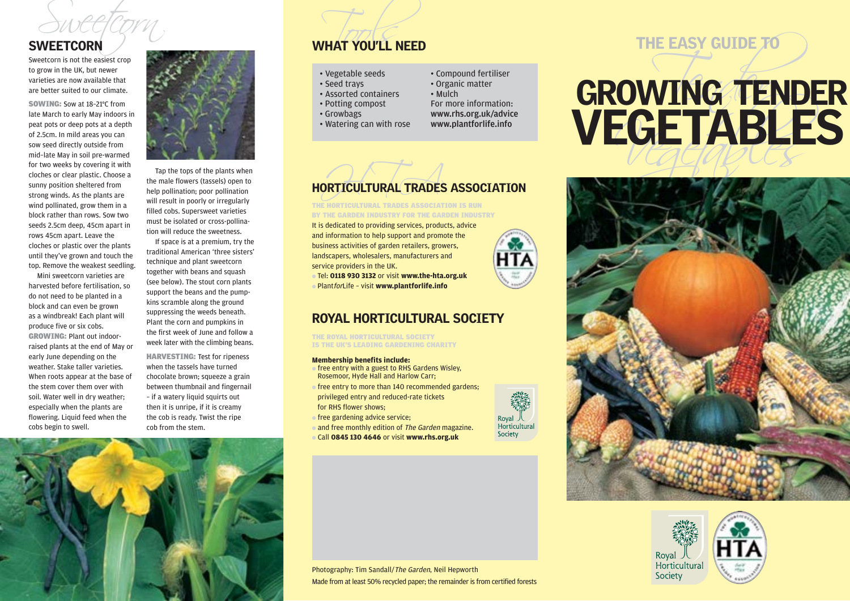Sweetcorn is not the easiest crop to grow in the UK, but newer varieties are now available that are better suited to our climate.

SOWING: Sow at 18–21°C from late March to early May indoors in peat pots or deep pots at a depth of 2.5cm. In mild areas you can sow seed directly outside from mid–late May in soil pre-warmed for two weeks by covering it with cloches or clear plastic. Choose a sunny position sheltered from strong winds. As the plants are wind pollinated, grow them in a block rather than rows. Sow two seeds 2.5cm deep, 45cm apart in rows 45cm apart. Leave the cloches or plastic over the plants until they've grown and touch the top. Remove the weakest seedling.

Mini sweetcorn varieties are harvested before fertilisation, so do not need to be planted in a block and can even be grown as a windbreak! Each plant will produce five or six cobs. GROWING: Plant out indoorraised plants at the end of May or early June depending on the weather. Stake taller varieties. When roots appear at the base of the stem cover them over with soil. Water well in dry weather; especially when the plants are flowering. Liquid feed when the cobs begin to swell.



Tap the tops of the plants when the male flowers (tassels) open to help pollination; poor pollination will result in poorly or irregularly filled cobs. Supersweet varieties must be isolated or cross-pollination will reduce the sweetness.

If space is at a premium, try the traditional American 'three sisters' technique and plant sweetcorn together with beans and squash (see below). The stout corn plants support the beans and the pumpkins scramble along the ground suppressing the weeds beneath. Plant the corn and pumpkins in the first week of June and follow a week later with the climbing beans.

HARVESTING: Test for ripeness when the tassels have turned chocolate brown; squeeze a grain between thumbnail and fingernail – if a watery liquid squirts out then it is unripe, if it is creamy the cob is ready. Twist the ripe cob from the stem.

## Sweetcorn WHAT YOU'LL NEED

#### • Vegetable seeds

- Seed trays
- Assorted containers
- Potting compost
- Growbags
- Watering can with rose
- www.rhs.org.uk/advice www.plantforlife.info

• Compound fertiliser • Organic matter • Mulch

For more information:



### HORTICULTURAL TRADES ASSOCIATION

THE HORTICULTURAL TRADES ASSOCIATION IS RUN BY THE GARDEN INDUSTRY FOR THE GARDEN INDUSTRY

It is dedicated to providing services, products, advice and information to help support and promote the business activities of garden retailers, growers, landscapers, wholesalers, manufacturers and service providers in the UK.

● Tel: **0118 930 3132** or visit **www.the-hta.org.uk** ● PlantforLife – visit **www.plantforlife.info**

### ROYAL HORTICULTURAL SOCIETY

THE ROYAL HORTICULTURAL SOCIETY IS THE UK'S LEADING GARDENING CHARITY

#### **Membership benefits include:**

- free entry with a guest to RHS Gardens Wisley. Rosemoor, Hyde Hall and Harlow Carr;
- $\bullet$  free entry to more than 140 recommended gardens; privileged entry and reduced-rate tickets for RHS flower shows;
- free gardening advice service;
- and free monthly edition of The Garden magazine.
- Call **0845 130 4646** or visit **www.rhs.org.uk**



## THE EASY GUIDE TO

## SWEETCORN<br>
Synetcorn is not the easiest crop<br>to grow in the UK, but newer<br>are better suited to our climate.<br>
are better suited to our climate.<br>
Seed trays<br>
Associated containers<br>
Seed trays<br>
Associated containers<br>
Associat **VEGETABLES**







Photography: Tim Sandall/The Garden, Neil Hepworth Made from at least 50% recycled paper; the remainder is from certified forests

Royal 人<br>Horticultural Society